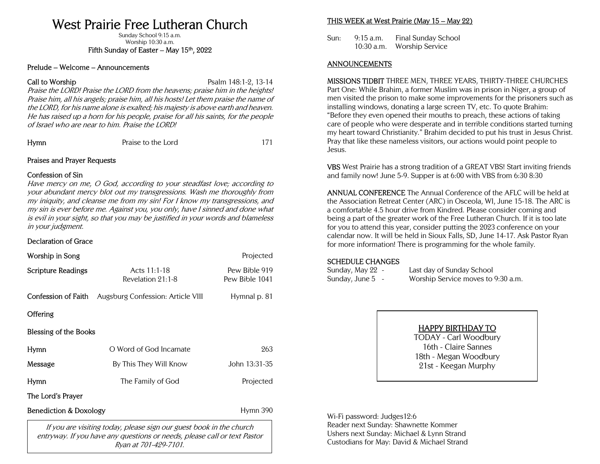# West Prairie Free Lutheran Church

Sunday School 9:15 a.m. Worship 10:30 a.m. Fifth Sunday of Easter – May  $15<sup>th</sup>$ , 2022

#### Prelude – Welcome – Announcements

**Call to Worship Call to Worship Call to Worship Call to Worship Call to Worship Call to Worship Call to Worship** 

Praise the LORD! Praise the LORD from the heavens; praise him in the heights! Praise him, all his angels; praise him, all his hosts! Let them praise the name of the LORD, for his name alone is exalted; his majesty is above earth and heaven. He has raised up a horn for his people, praise for all his saints, for the people of Israel who are near to him. Praise the LORD!

Praise to the Lord 171

# Praises and Prayer Requests

## Confession of Sin

Have mercy on me, O God, according to your steadfast love; according to your abundant mercy blot out my transgressions. Wash me thoroughly from my iniquity, and cleanse me from my sin! For I know my transgressions, and my sin is ever before me. Against you, you only, have I sinned and done what is evil in your sight, so that you may be justified in your words and blameless in your judgment.

# Declaration of Grace

| Worship in Song                                                     |                                   | Projected                       |  |  |
|---------------------------------------------------------------------|-----------------------------------|---------------------------------|--|--|
| Scripture Readings                                                  | Acts 11:1-18<br>Revelation 21:1-8 | Pew Bible 919<br>Pew Bible 1041 |  |  |
| <b>Confession of Faith</b>                                          | Augsburg Confession: Article VIII | Hymnal p. 81                    |  |  |
| Offering                                                            |                                   |                                 |  |  |
| Blessing of the Books                                               |                                   |                                 |  |  |
| Hymn                                                                | O Word of God Incarnate           |                                 |  |  |
| Message                                                             | By This They Will Know            | John 13:31-35                   |  |  |
| Hymn                                                                | The Family of God                 | Projected                       |  |  |
| The Lord's Prayer                                                   |                                   |                                 |  |  |
| Benediction & Doxology                                              | Hymn 390                          |                                 |  |  |
| If you are visiting today, please sign our guest book in the church |                                   |                                 |  |  |

If you are visiting today, please sign our guest book in the church entryway. If you have any questions or needs, please call or text Pastor Ryan at 701-429-7101.

# THIS WEEK at West Prairie (May 15 – May 22)

Sun: 9:15 a.m. Final Sunday School 10:30 a.m. Worship Service

## ANNOUNCEMENTS

MISSIONS TIDBIT THREE MEN, THREE YEARS, THIRTY-THREE CHURCHES Part One: While Brahim, a former Muslim was in prison in Niger, a group of men visited the prison to make some improvements for the prisoners such as installing windows, donating a large screen TV, etc. To quote Brahim: "Before they even opened their mouths to preach, these actions of taking care of people who were desperate and in terrible conditions started turning my heart toward Christianity." Brahim decided to put his trust in Jesus Christ. Pray that like these nameless visitors, our actions would point people to Jesus.

VBS West Prairie has a strong tradition of a GREAT VBS! Start inviting friends and family now! June 5-9. Supper is at 6:00 with VBS from 6:30 8:30

ANNUAL CONFERENCE The Annual Conference of the AFLC will be held at the Association Retreat Center (ARC) in Osceola, WI, June 15-18. The ARC is a comfortable 4.5 hour drive from Kindred. Please consider coming and being a part of the greater work of the Free Lutheran Church. If it is too late for you to attend this year, consider putting the 2023 conference on your calendar now. It will be held in Sioux Falls, SD, June 14-17. Ask Pastor Ryan for more information! There is programming for the whole family.

## SCHEDULE CHANGES

| Sunday, May 22  -   | Last day of Sunday School          |
|---------------------|------------------------------------|
| Sunday, June 5    - | Worship Service moves to 9:30 a.m. |

# HAPPY BIRTHDAY TO

TODAY - Carl Woodbury 16th - Claire Sannes 18th - Megan Woodbury 21st - Keegan Murphy

Wi-Fi password: Judges12:6 Reader next Sunday: Shawnette Kommer Ushers next Sunday: Michael & Lynn Strand Custodians for May: David & Michael Strand